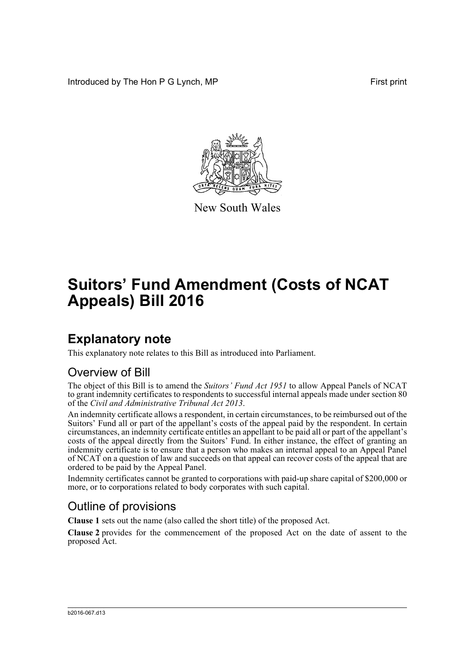Introduced by The Hon P G Lynch, MP First print



New South Wales

# **Suitors' Fund Amendment (Costs of NCAT Appeals) Bill 2016**

### **Explanatory note**

This explanatory note relates to this Bill as introduced into Parliament.

### Overview of Bill

The object of this Bill is to amend the *Suitors' Fund Act 1951* to allow Appeal Panels of NCAT to grant indemnity certificates to respondents to successful internal appeals made under section 80 of the *Civil and Administrative Tribunal Act 2013*.

An indemnity certificate allows a respondent, in certain circumstances, to be reimbursed out of the Suitors' Fund all or part of the appellant's costs of the appeal paid by the respondent. In certain circumstances, an indemnity certificate entitles an appellant to be paid all or part of the appellant's costs of the appeal directly from the Suitors' Fund. In either instance, the effect of granting an indemnity certificate is to ensure that a person who makes an internal appeal to an Appeal Panel of NCAT on a question of law and succeeds on that appeal can recover costs of the appeal that are ordered to be paid by the Appeal Panel.

Indemnity certificates cannot be granted to corporations with paid-up share capital of \$200,000 or more, or to corporations related to body corporates with such capital.

#### Outline of provisions

**Clause 1** sets out the name (also called the short title) of the proposed Act.

**Clause 2** provides for the commencement of the proposed Act on the date of assent to the proposed Act.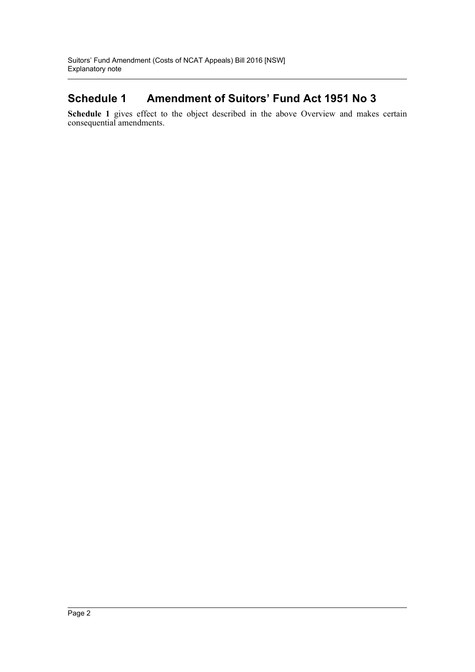#### **Schedule 1 Amendment of Suitors' Fund Act 1951 No 3**

**Schedule 1** gives effect to the object described in the above Overview and makes certain consequential amendments.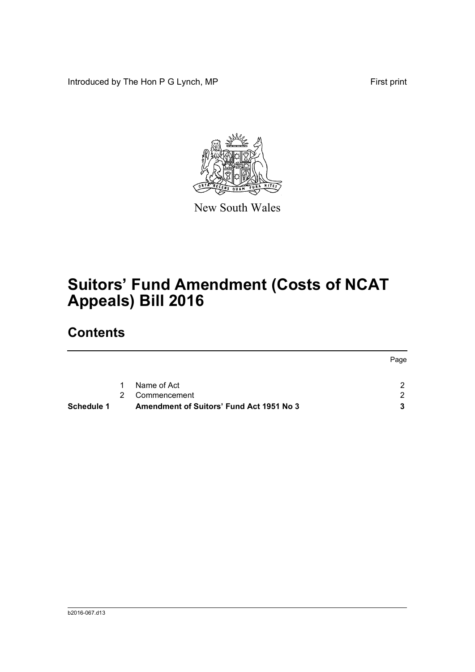Introduced by The Hon P G Lynch, MP First print



New South Wales

# **Suitors' Fund Amendment (Costs of NCAT Appeals) Bill 2016**

### **Contents**

|            |             |                                                 | Page |
|------------|-------------|-------------------------------------------------|------|
|            |             |                                                 |      |
|            | 1           | Name of Act                                     |      |
|            | $2^{\circ}$ | Commencement                                    |      |
| Schedule 1 |             | <b>Amendment of Suitors' Fund Act 1951 No 3</b> |      |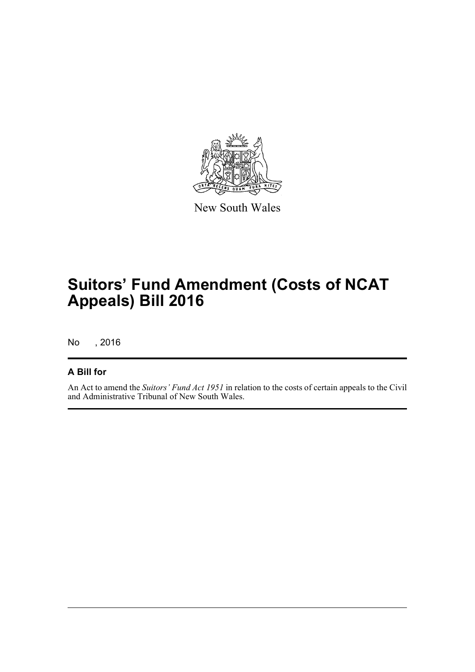

New South Wales

## **Suitors' Fund Amendment (Costs of NCAT Appeals) Bill 2016**

No , 2016

#### **A Bill for**

An Act to amend the *Suitors' Fund Act 1951* in relation to the costs of certain appeals to the Civil and Administrative Tribunal of New South Wales.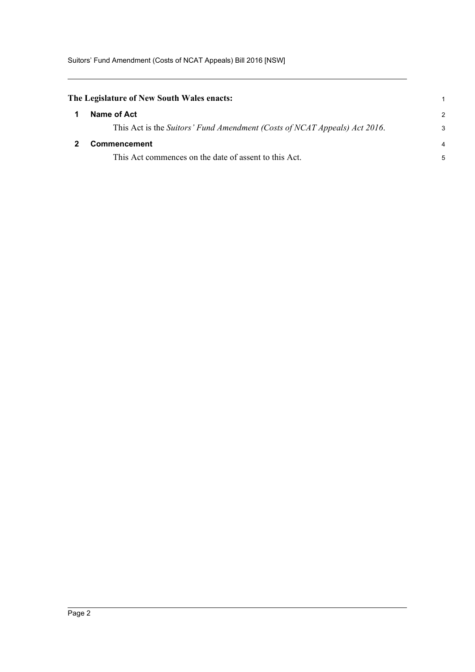<span id="page-4-1"></span><span id="page-4-0"></span>

| The Legislature of New South Wales enacts:                                |                |
|---------------------------------------------------------------------------|----------------|
| Name of Act                                                               | $\mathcal{P}$  |
| This Act is the Suitors' Fund Amendment (Costs of NCAT Appeals) Act 2016. | 3              |
| <b>Commencement</b>                                                       | $\overline{4}$ |
| This Act commences on the date of assent to this Act.                     | 5              |